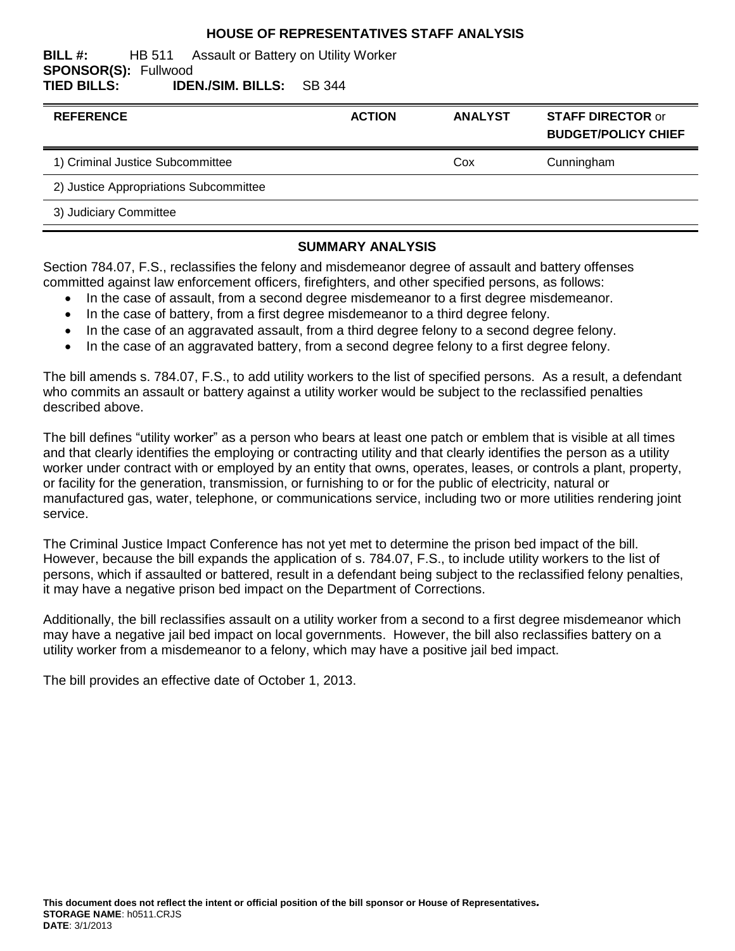#### **HOUSE OF REPRESENTATIVES STAFF ANALYSIS**

#### **BILL #:** HB 511 Assault or Battery on Utility Worker **SPONSOR(S):** Fullwood **TIED BILLS: IDEN./SIM. BILLS:** SB 344

| <b>REFERENCE</b>                       | <b>ACTION</b> | <b>ANALYST</b> | <b>STAFF DIRECTOR or</b><br><b>BUDGET/POLICY CHIEF</b> |
|----------------------------------------|---------------|----------------|--------------------------------------------------------|
| 1) Criminal Justice Subcommittee       |               | Cox            | Cunningham                                             |
| 2) Justice Appropriations Subcommittee |               |                |                                                        |
| 3) Judiciary Committee                 |               |                |                                                        |
|                                        |               |                |                                                        |

#### **SUMMARY ANALYSIS**

Section 784.07, F.S., reclassifies the felony and misdemeanor degree of assault and battery offenses committed against law enforcement officers, firefighters, and other specified persons, as follows:

- In the case of assault, from a second degree misdemeanor to a first degree misdemeanor.
- In the case of battery, from a first degree misdemeanor to a third degree felony.
- In the case of an aggravated assault, from a third degree felony to a second degree felony.
- In the case of an aggravated battery, from a second degree felony to a first degree felony.

The bill amends s. 784.07, F.S., to add utility workers to the list of specified persons. As a result, a defendant who commits an assault or battery against a utility worker would be subject to the reclassified penalties described above.

The bill defines "utility worker" as a person who bears at least one patch or emblem that is visible at all times and that clearly identifies the employing or contracting utility and that clearly identifies the person as a utility worker under contract with or employed by an entity that owns, operates, leases, or controls a plant, property, or facility for the generation, transmission, or furnishing to or for the public of electricity, natural or manufactured gas, water, telephone, or communications service, including two or more utilities rendering joint service.

The Criminal Justice Impact Conference has not yet met to determine the prison bed impact of the bill. However, because the bill expands the application of s. 784.07, F.S., to include utility workers to the list of persons, which if assaulted or battered, result in a defendant being subject to the reclassified felony penalties, it may have a negative prison bed impact on the Department of Corrections.

Additionally, the bill reclassifies assault on a utility worker from a second to a first degree misdemeanor which may have a negative jail bed impact on local governments. However, the bill also reclassifies battery on a utility worker from a misdemeanor to a felony, which may have a positive jail bed impact.

The bill provides an effective date of October 1, 2013.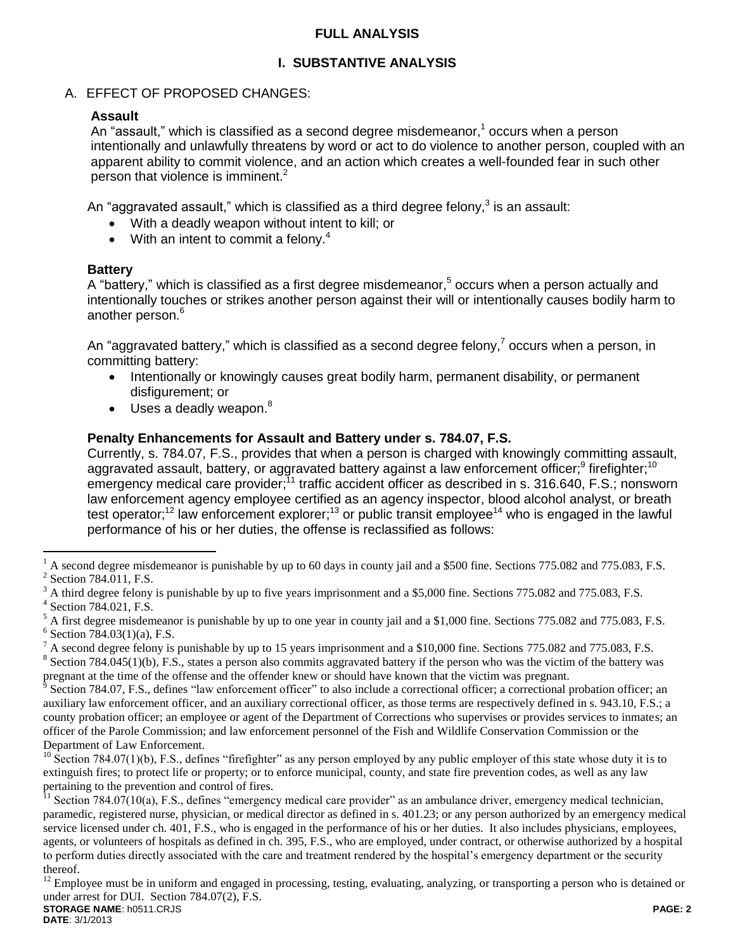### **FULL ANALYSIS**

## **I. SUBSTANTIVE ANALYSIS**

## A. EFFECT OF PROPOSED CHANGES:

## **Assault**

An "assault," which is classified as a second degree misdemeanor, $1$  occurs when a person intentionally and unlawfully threatens by word or act to do violence to another person, coupled with an apparent ability to commit violence, and an action which creates a well-founded fear in such other person that violence is imminent. $2$ 

An "aggravated assault," which is classified as a third degree felony, $^3$  is an assault:

- With a deadly weapon without intent to kill; or
- With an intent to commit a felony. $4$

### **Battery**

A "battery," which is classified as a first degree misdemeanor,<sup>5</sup> occurs when a person actually and intentionally touches or strikes another person against their will or intentionally causes bodily harm to another person.<sup>6</sup>

An "aggravated battery," which is classified as a second degree felony, $^7$  occurs when a person, in committing battery:

- Intentionally or knowingly causes great bodily harm, permanent disability, or permanent disfigurement; or
- $\bullet$  Uses a deadly weapon. $8$

### **Penalty Enhancements for Assault and Battery under s. 784.07, F.S.**

Currently, s. 784.07, F.S., provides that when a person is charged with knowingly committing assault, aggravated assault, battery, or aggravated battery against a law enforcement officer;<sup>9</sup> firefighter;<sup>10</sup> emergency medical care provider;<sup>11</sup> traffic accident officer as described in s. 316.640, F.S.; nonsworn law enforcement agency employee certified as an agency inspector, blood alcohol analyst, or breath test operator;<sup>12</sup> law enforcement explorer;<sup>13</sup> or public transit employee<sup>14</sup> who is engaged in the lawful performance of his or her duties, the offense is reclassified as follows:

 $\overline{a}$ 

**DATE**: 3/1/2013

<sup>1</sup> A second degree misdemeanor is punishable by up to 60 days in county jail and a \$500 fine. Sections 775.082 and 775.083, F.S. <sup>2</sup> Section 784.011, F.S.

<sup>3</sup> A third degree felony is punishable by up to five years imprisonment and a \$5,000 fine. Sections 775.082 and 775.083, F.S.

<sup>4</sup> Section 784.021, F.S.

<sup>5</sup> A first degree misdemeanor is punishable by up to one year in county jail and a \$1,000 fine. Sections 775.082 and 775.083, F.S.  $6$  Section 784.03(1)(a), F.S.

 $^7$  A second degree felony is punishable by up to 15 years imprisonment and a \$10,000 fine. Sections 775.082 and 775.083, F.S.

 $8$  Section 784.045(1)(b), F.S., states a person also commits aggravated battery if the person who was the victim of the battery was pregnant at the time of the offense and the offender knew or should have known that the victim was pregnant.

<sup>9</sup> Section 784.07, F.S., defines "law enforcement officer" to also include a correctional officer; a correctional probation officer; an auxiliary law enforcement officer, and an auxiliary correctional officer, as those terms are respectively defined in s. 943.10, F.S.; a county probation officer; an employee or agent of the Department of Corrections who supervises or provides services to inmates; an officer of the Parole Commission; and law enforcement personnel of the Fish and Wildlife Conservation Commission or the Department of Law Enforcement.

 $10$  Section 784.07(1)(b), F.S., defines "firefighter" as any person employed by any public employer of this state whose duty it is to extinguish fires; to protect life or property; or to enforce municipal, county, and state fire prevention codes, as well as any law pertaining to the prevention and control of fires.

Section  $784.07(10(a)$ , F.S., defines "emergency medical care provider" as an ambulance driver, emergency medical technician, paramedic, registered nurse, physician, or medical director as defined in s. 401.23; or any person authorized by an emergency medical service licensed under ch. 401, F.S., who is engaged in the performance of his or her duties. It also includes physicians, employees, agents, or volunteers of hospitals as defined in ch. 395, F.S., who are employed, under contract, or otherwise authorized by a hospital to perform duties directly associated with the care and treatment rendered by the hospital's emergency department or the security thereof.

**STORAGE NAME**: h0511.CRJS **PAGE: 2** <sup>12</sup> Employee must be in uniform and engaged in processing, testing, evaluating, analyzing, or transporting a person who is detained or under arrest for DUI. Section 784.07(2), F.S.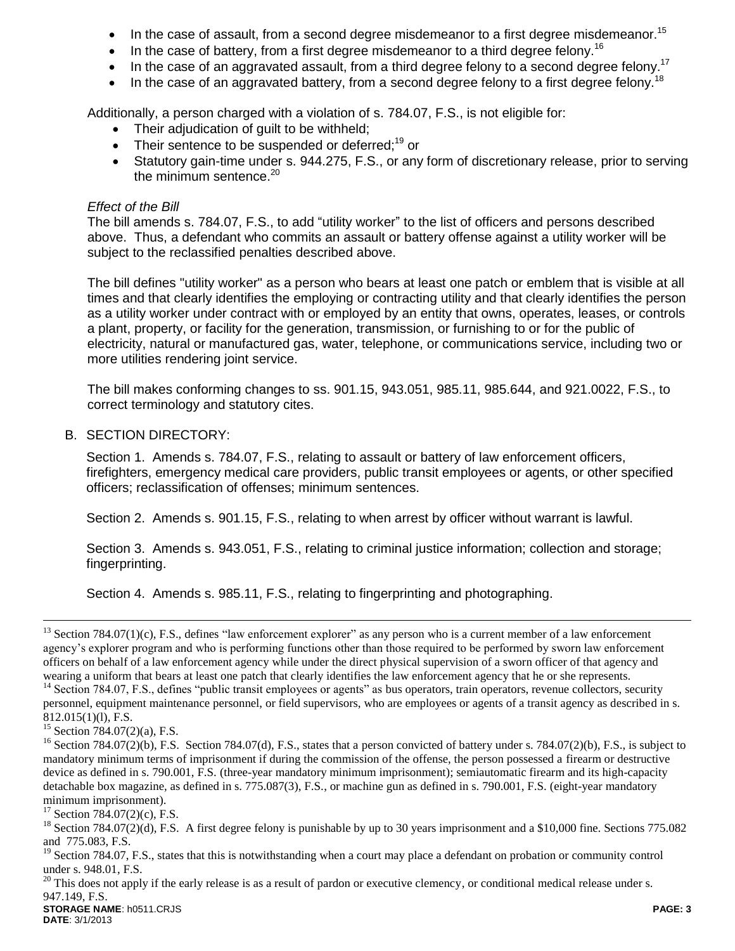- In the case of assault, from a second degree misdemeanor to a first degree misdemeanor.<sup>15</sup>
- In the case of battery, from a first degree misdemeanor to a third degree felony.<sup>16</sup>
- In the case of an aggravated assault, from a third degree felony to a second degree felony.<sup>17</sup>
- In the case of an aggravated battery, from a second degree felony to a first degree felony.<sup>18</sup>

Additionally, a person charged with a violation of s. 784.07, F.S., is not eligible for:

- Their adjudication of guilt to be withheld;
- Their sentence to be suspended or deferred; $^{19}$  or
- Statutory gain-time under s. 944.275, F.S., or any form of discretionary release, prior to serving the minimum sentence. $20$

#### *Effect of the Bill*

The bill amends s. 784.07, F.S., to add "utility worker" to the list of officers and persons described above. Thus, a defendant who commits an assault or battery offense against a utility worker will be subject to the reclassified penalties described above.

The bill defines "utility worker" as a person who bears at least one patch or emblem that is visible at all times and that clearly identifies the employing or contracting utility and that clearly identifies the person as a utility worker under contract with or employed by an entity that owns, operates, leases, or controls a plant, property, or facility for the generation, transmission, or furnishing to or for the public of electricity, natural or manufactured gas, water, telephone, or communications service, including two or more utilities rendering joint service.

The bill makes conforming changes to ss. 901.15, 943.051, 985.11, 985.644, and 921.0022, F.S., to correct terminology and statutory cites.

#### B. SECTION DIRECTORY:

Section 1. Amends s. 784.07, F.S., relating to assault or battery of law enforcement officers, firefighters, emergency medical care providers, public transit employees or agents, or other specified officers; reclassification of offenses; minimum sentences.

Section 2. Amends s. 901.15, F.S., relating to when arrest by officer without warrant is lawful.

Section 3. Amends s. 943.051, F.S., relating to criminal justice information; collection and storage; fingerprinting.

Section 4. Amends s. 985.11, F.S., relating to fingerprinting and photographing.

personnel, equipment maintenance personnel, or field supervisors, who are employees or agents of a transit agency as described in s. 812.015(1)(l), F.S.

 $\overline{a}$ 

**STORAGE NAME**: h0511.CRJS **PAGE: 3**  $20$  This does not apply if the early release is as a result of pardon or executive clemency, or conditional medical release under s. 947.149, F.S.

**DATE**: 3/1/2013

 $13$  Section 784.07(1)(c), F.S., defines "law enforcement explorer" as any person who is a current member of a law enforcement agency's explorer program and who is performing functions other than those required to be performed by sworn law enforcement officers on behalf of a law enforcement agency while under the direct physical supervision of a sworn officer of that agency and wearing a uniform that bears at least one patch that clearly identifies the law enforcement agency that he or she represents. <sup>14</sup> Section 784.07, F.S., defines "public transit employees or agents" as bus operators, train operators, revenue collectors, security

<sup>&</sup>lt;sup>15</sup> Section 784.07(2)(a), F.S.

 $^{16}$  Section 784.07(2)(b), F.S. Section 784.07(d), F.S., states that a person convicted of battery under s. 784.07(2)(b), F.S., is subject to mandatory minimum terms of imprisonment if during the commission of the offense, the person possessed a firearm or destructive device as defined in s. 790.001, F.S. (three-year mandatory minimum imprisonment); semiautomatic firearm and its high-capacity detachable box magazine, as defined in s. 775.087(3), F.S., or machine gun as defined in s. 790.001, F.S. (eight-year mandatory minimum imprisonment).

 $17$  Section 784.07(2)(c), F.S.

<sup>&</sup>lt;sup>18</sup> Section 784.07(2)(d), F.S. A first degree felony is punishable by up to 30 years imprisonment and a \$10,000 fine. Sections 775.082 and 775.083, F.S.

<sup>&</sup>lt;sup>19</sup> Section 784.07, F.S., states that this is notwithstanding when a court may place a defendant on probation or community control under s. 948.01, F.S.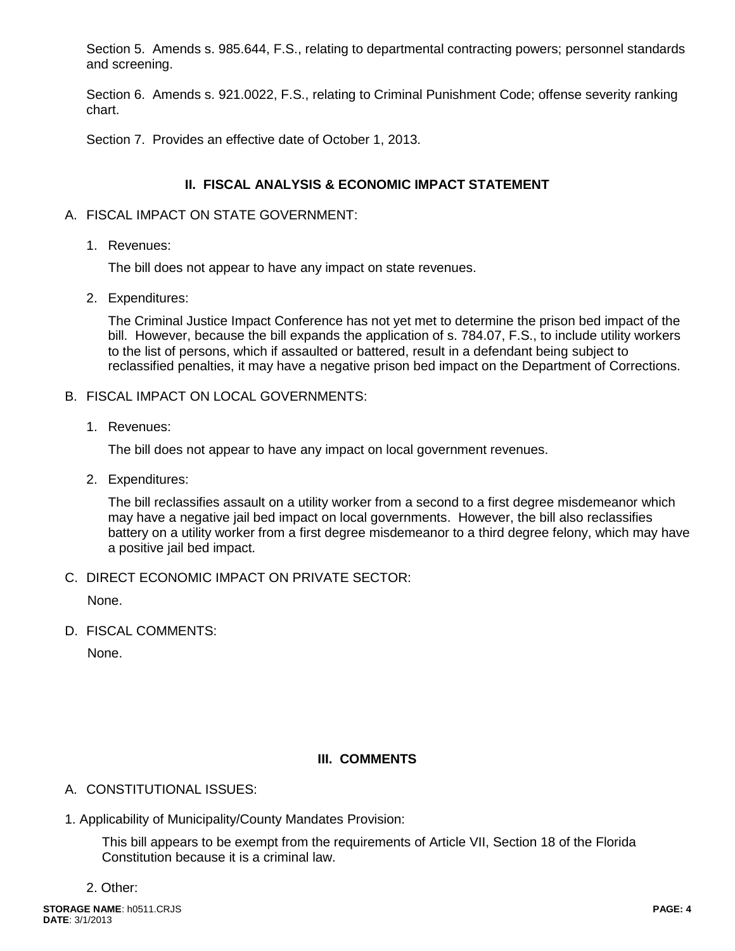Section 5. Amends s. 985.644, F.S., relating to departmental contracting powers; personnel standards and screening.

Section 6. Amends s. 921.0022, F.S., relating to Criminal Punishment Code; offense severity ranking chart.

Section 7. Provides an effective date of October 1, 2013.

## **II. FISCAL ANALYSIS & ECONOMIC IMPACT STATEMENT**

- A. FISCAL IMPACT ON STATE GOVERNMENT:
	- 1. Revenues:

The bill does not appear to have any impact on state revenues.

2. Expenditures:

The Criminal Justice Impact Conference has not yet met to determine the prison bed impact of the bill. However, because the bill expands the application of s. 784.07, F.S., to include utility workers to the list of persons, which if assaulted or battered, result in a defendant being subject to reclassified penalties, it may have a negative prison bed impact on the Department of Corrections.

- B. FISCAL IMPACT ON LOCAL GOVERNMENTS:
	- 1. Revenues:

The bill does not appear to have any impact on local government revenues.

2. Expenditures:

The bill reclassifies assault on a utility worker from a second to a first degree misdemeanor which may have a negative jail bed impact on local governments. However, the bill also reclassifies battery on a utility worker from a first degree misdemeanor to a third degree felony, which may have a positive jail bed impact.

C. DIRECT ECONOMIC IMPACT ON PRIVATE SECTOR:

None.

D. FISCAL COMMENTS:

None.

## **III. COMMENTS**

## A. CONSTITUTIONAL ISSUES:

1. Applicability of Municipality/County Mandates Provision:

This bill appears to be exempt from the requirements of Article VII, Section 18 of the Florida Constitution because it is a criminal law.

2. Other: